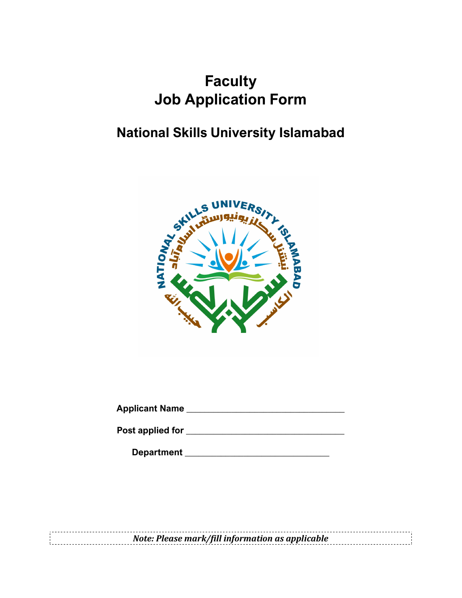# **Faculty** Job Application Form

# National Skills University Islamabad



Applicant Name \_\_\_\_\_\_\_\_\_\_\_\_\_\_\_\_\_\_\_\_\_\_\_\_\_\_\_\_\_\_\_\_\_\_\_

Post applied for \_\_\_\_\_\_\_\_\_\_\_\_\_\_\_\_\_\_\_\_\_\_\_\_\_\_\_\_\_\_\_\_\_\_\_

Department \_\_\_\_\_\_\_\_\_\_\_\_\_\_\_\_\_\_\_\_\_\_\_\_\_\_\_\_\_\_\_\_

Note: Please mark/fill information as applicable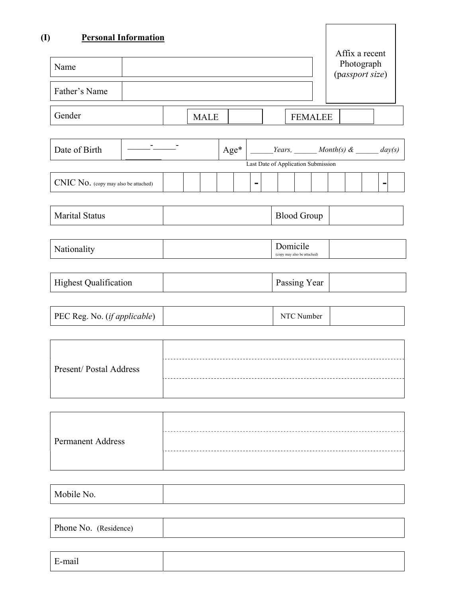| <b>Personal Information</b><br>Name   |             |                          |                                                                                                    |  | Affix a recent<br>Photograph<br>(passport size) |  |
|---------------------------------------|-------------|--------------------------|----------------------------------------------------------------------------------------------------|--|-------------------------------------------------|--|
| Father's Name                         |             |                          |                                                                                                    |  |                                                 |  |
| Gender                                | <b>MALE</b> |                          | <b>FEMALEE</b>                                                                                     |  |                                                 |  |
| <b>Participation</b><br>Date of Birth |             |                          | $\rm{Age*}$   ______ Years, ______ Month(s) & ______ day(s)<br>Last Date of Application Submission |  |                                                 |  |
| CNIC No. (copy may also be attached)  |             | $\overline{\phantom{a}}$ |                                                                                                    |  |                                                 |  |
| <b>Marital Status</b>                 |             |                          | <b>Blood Group</b>                                                                                 |  |                                                 |  |
| Nationality                           |             |                          | Domicile<br>(copy may also be attached)                                                            |  |                                                 |  |
| <b>Highest Qualification</b>          |             |                          | Passing Year                                                                                       |  |                                                 |  |
| PEC Reg. No. (if applicable)          |             |                          | NTC Number                                                                                         |  |                                                 |  |
| Present/Postal Address                |             |                          |                                                                                                    |  |                                                 |  |
| <b>Permanent Address</b>              |             |                          |                                                                                                    |  |                                                 |  |
| Mobile No.                            |             |                          |                                                                                                    |  |                                                 |  |

Phone No. (Residence)

E-mail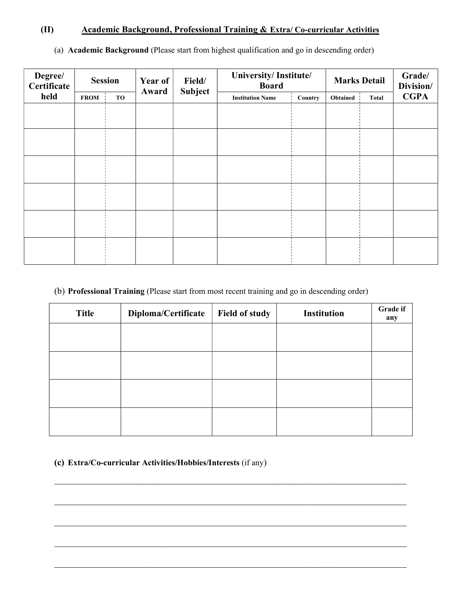### (II) Academic Background, Professional Training & Extra/ Co-curricular Activities

| Degree/<br>Certificate |             | <b>Session</b> | Year of<br>Award | Field/<br><b>Subject</b> | University/Institute/<br><b>Board</b> |         |          | <b>Marks Detail</b> | Grade/<br>Division/ |
|------------------------|-------------|----------------|------------------|--------------------------|---------------------------------------|---------|----------|---------------------|---------------------|
| held                   | <b>FROM</b> | TO             |                  |                          | <b>Institution Name</b>               | Country | Obtained | Total               | <b>CGPA</b>         |
|                        |             |                |                  |                          |                                       |         |          |                     |                     |
|                        |             |                |                  |                          |                                       |         |          |                     |                     |
|                        |             |                |                  |                          |                                       |         |          |                     |                     |
|                        |             |                |                  |                          |                                       |         |          |                     |                     |
|                        |             |                |                  |                          |                                       |         |          |                     |                     |
|                        |             |                |                  |                          |                                       |         |          |                     |                     |
|                        |             |                |                  |                          |                                       |         |          |                     |                     |
|                        |             |                |                  |                          |                                       |         |          |                     |                     |
|                        |             |                |                  |                          |                                       |         |          |                     |                     |
|                        |             |                |                  |                          |                                       |         |          |                     |                     |
|                        |             |                |                  |                          |                                       |         |          |                     |                     |
|                        |             |                |                  |                          |                                       |         |          |                     |                     |

(a) Academic Background (Please start from highest qualification and go in descending order)

### (b) Professional Training (Please start from most recent training and go in descending order)

| <b>Title</b> | Diploma/Certificate | <b>Field of study</b> | <b>Institution</b> | Grade if<br>any |
|--------------|---------------------|-----------------------|--------------------|-----------------|
|              |                     |                       |                    |                 |
|              |                     |                       |                    |                 |
|              |                     |                       |                    |                 |
|              |                     |                       |                    |                 |

## (c) Extra/Co-curricular Activities/Hobbies/Interests (if any)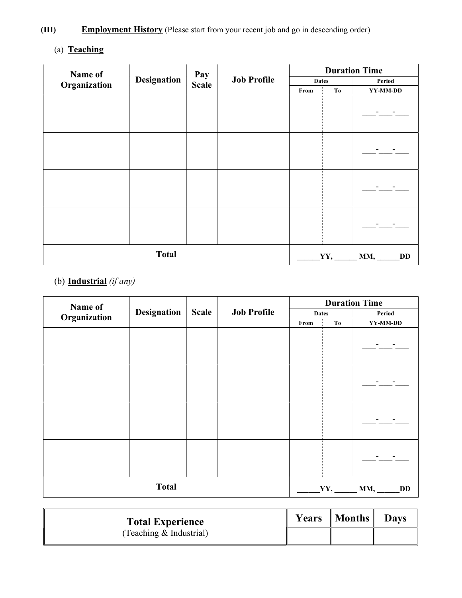# (III) Employment History (Please start from your recent job and go in descending order)

# (a) Teaching

| Name of      |                    | <b>Duration Time</b><br>Pay |                    |              |                       |           |
|--------------|--------------------|-----------------------------|--------------------|--------------|-----------------------|-----------|
| Organization | <b>Designation</b> | <b>Scale</b>                | <b>Job Profile</b> | <b>Dates</b> |                       | Period    |
|              |                    |                             |                    | From         | To                    | YY-MM-DD  |
|              |                    |                             |                    |              |                       |           |
|              |                    |                             |                    |              |                       |           |
|              |                    |                             |                    |              |                       |           |
|              |                    |                             |                    |              |                       |           |
|              | <b>Total</b>       |                             |                    |              | $YY, \_\_\_$ MM, $\_$ | <b>DD</b> |

# (b) Industrial  $(if any)$

| Name of      |                    |              |                    |              |     | <b>Duration Time</b> |
|--------------|--------------------|--------------|--------------------|--------------|-----|----------------------|
| Organization | <b>Designation</b> | <b>Scale</b> | <b>Job Profile</b> | <b>Dates</b> |     | Period               |
|              |                    |              |                    | From         | To  | YY-MM-DD             |
|              |                    |              |                    |              |     |                      |
|              |                    |              |                    |              |     |                      |
|              |                    |              |                    |              |     |                      |
|              |                    |              |                    |              |     |                      |
|              | <b>Total</b>       |              |                    |              | YY, | MM,<br><b>DD</b>     |

| <b>Total Experience</b>   | <b>Years</b>   <b>Months</b> | <b>Davs</b> |
|---------------------------|------------------------------|-------------|
| (Teaching $&$ Industrial) |                              |             |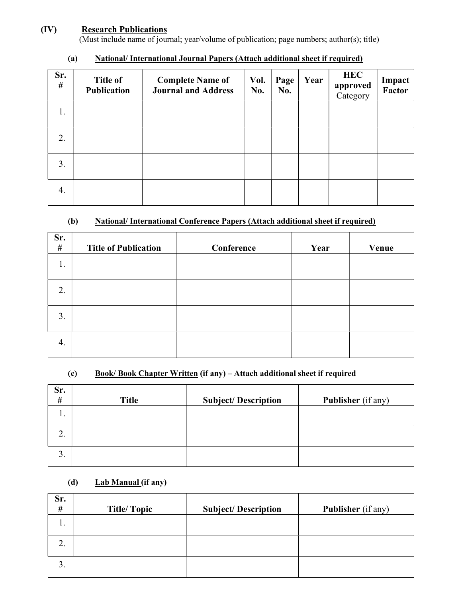### (IV) Research Publications

(Must include name of journal; year/volume of publication; page numbers; author(s); title)

| Sr.<br># | <b>Title of</b><br><b>Publication</b> | <b>Complete Name of</b><br><b>Journal and Address</b> | Vol.<br>No. | Page<br>No. | Year | <b>HEC</b><br>approved<br>Category | Impact<br>Factor |
|----------|---------------------------------------|-------------------------------------------------------|-------------|-------------|------|------------------------------------|------------------|
| 1.       |                                       |                                                       |             |             |      |                                    |                  |
| 2.       |                                       |                                                       |             |             |      |                                    |                  |
| 3.       |                                       |                                                       |             |             |      |                                    |                  |
| 4.       |                                       |                                                       |             |             |      |                                    |                  |

### (a) National/ International Journal Papers (Attach additional sheet if required)

## (b) National/ International Conference Papers (Attach additional sheet if required)

| Sr.<br>$\#$ | <b>Title of Publication</b> | Conference | Year | Venue |
|-------------|-----------------------------|------------|------|-------|
| 1.          |                             |            |      |       |
| 2.          |                             |            |      |       |
| 3.          |                             |            |      |       |
| 4.          |                             |            |      |       |

#### (c) Book/ Book Chapter Written (if any) – Attach additional sheet if required

| Sr.<br>#        | <b>Title</b> | <b>Subject/Description</b> | <b>Publisher</b> (if any) |
|-----------------|--------------|----------------------------|---------------------------|
| 1.              |              |                            |                           |
| ⌒<br><u>.</u>   |              |                            |                           |
| $\bigcap$<br>3. |              |                            |                           |

### (d)  $Lab Manual (if any)$

| Sr.<br># | <b>Title/Topic</b> | <b>Subject/Description</b> | <b>Publisher</b> (if any) |
|----------|--------------------|----------------------------|---------------------------|
| 1.       |                    |                            |                           |
| ◠<br>۷.  |                    |                            |                           |
| 3.       |                    |                            |                           |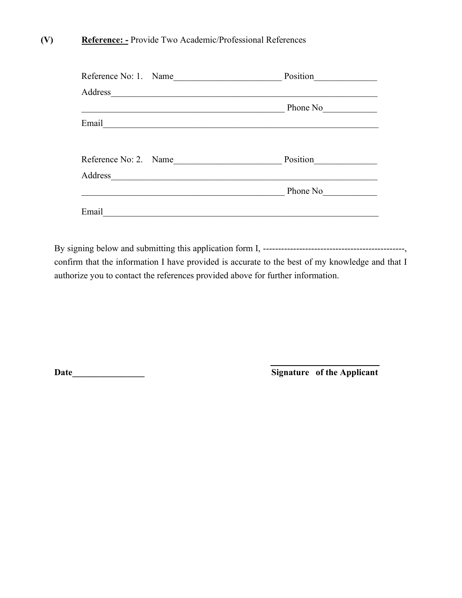### (V) Reference: - Provide Two Academic/Professional References

| Reference No: 1. Name                                                                                                             | Position |
|-----------------------------------------------------------------------------------------------------------------------------------|----------|
| Address<br><u> 1989 - An Aonaichte ann an Cathair ann an Càranachd ann an Càranachd ann an Càranachd ann an Càranachd ann an </u> |          |
|                                                                                                                                   | Phone No |
| Email                                                                                                                             |          |
| Reference No: 2. Name                                                                                                             | Position |
| Address                                                                                                                           |          |
|                                                                                                                                   | Phone No |
| Email                                                                                                                             |          |

By signing below and submitting this application form I, -----------------------------------------------, confirm that the information I have provided is accurate to the best of my knowledge and that I authorize you to contact the references provided above for further information.

Date\_\_\_\_\_\_\_\_\_\_\_\_\_\_\_\_ Signature of the Applicant